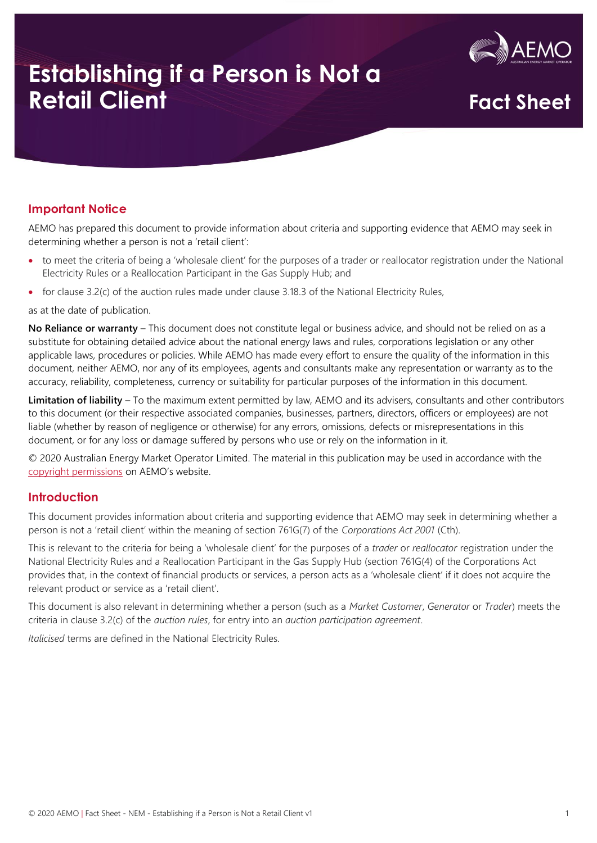

## **Establishing if a Person is Not a Establishing if a Person is Not a**<br>**Retail Client Fact Sheet**

#### **Important Notice**

AEMO has prepared this document to provide information about criteria and supporting evidence that AEMO may seek in determining whether a person is not a 'retail client':

- to meet the criteria of being a 'wholesale client' for the purposes of a trader or reallocator registration under the National Electricity Rules or a Reallocation Participant in the Gas Supply Hub; and
- for clause 3.2(c) of the auction rules made under clause 3.18.3 of the National Electricity Rules,

as at the date of publication.

**No Reliance or warranty** – This document does not constitute legal or business advice, and should not be relied on as a substitute for obtaining detailed advice about the national energy laws and rules, corporations legislation or any other applicable laws, procedures or policies. While AEMO has made every effort to ensure the quality of the information in this document, neither AEMO, nor any of its employees, agents and consultants make any representation or warranty as to the accuracy, reliability, completeness, currency or suitability for particular purposes of the information in this document.

**Limitation of liability** – To the maximum extent permitted by law, AEMO and its advisers, consultants and other contributors to this document (or their respective associated companies, businesses, partners, directors, officers or employees) are not liable (whether by reason of negligence or otherwise) for any errors, omissions, defects or misrepresentations in this document, or for any loss or damage suffered by persons who use or rely on the information in it.

© 2020 Australian Energy Market Operator Limited. The material in this publication may be used in accordance with the [copyright permissions](https://www.aemo.com.au/privacy-and-legal-notices/copyright-permissions) on AEMO's website.

#### **Introduction**

This document provides information about criteria and supporting evidence that AEMO may seek in determining whether a person is not a 'retail client' within the meaning of section 761G(7) of the *Corporations Act 2001* (Cth).

This is relevant to the criteria for being a 'wholesale client' for the purposes of a *trader* or *reallocator* registration under the National Electricity Rules and a Reallocation Participant in the Gas Supply Hub (section 761G(4) of the Corporations Act provides that, in the context of financial products or services, a person acts as a 'wholesale client' if it does not acquire the relevant product or service as a 'retail client'.

This document is also relevant in determining whether a person (such as a *Market Customer*, *Generator* or *Trader*) meets the criteria in clause 3.2(c) of the *auction rules*, for entry into an *auction participation agreement*.

*Italicised* terms are defined in the National Electricity Rules.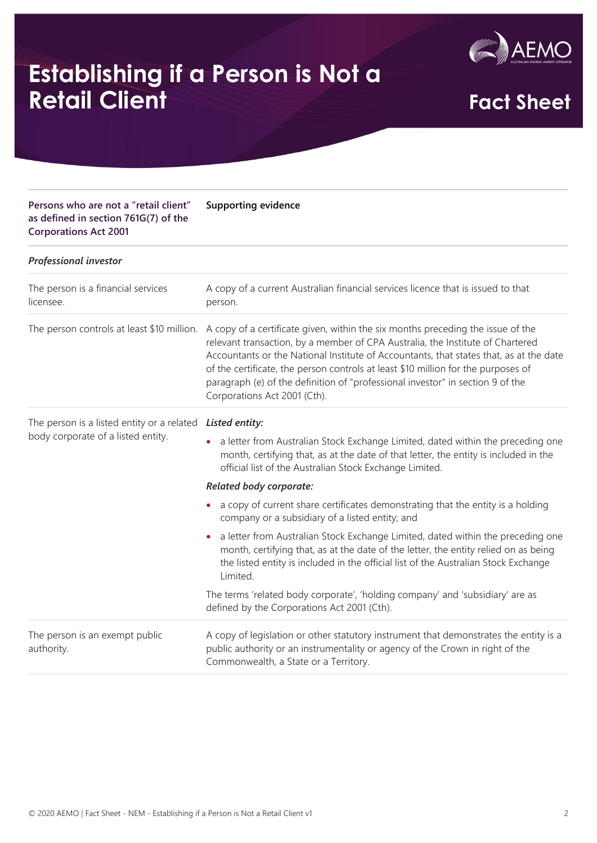

# **Establishing if a Person is Not a Establishing if a Person is Not a**<br>**Retail Client Fact Sheet**

**Supporting evidence**

#### **Persons who are not a "retail client" as defined in section 761G(7) of the Corporations Act 2001**

| <b>Professional investor</b>                                                     |                                                                                                                                                                                                                                                                                                                                                                                                                                                                    |
|----------------------------------------------------------------------------------|--------------------------------------------------------------------------------------------------------------------------------------------------------------------------------------------------------------------------------------------------------------------------------------------------------------------------------------------------------------------------------------------------------------------------------------------------------------------|
| The person is a financial services<br>licensee.                                  | A copy of a current Australian financial services licence that is issued to that<br>person.                                                                                                                                                                                                                                                                                                                                                                        |
| The person controls at least \$10 million.                                       | A copy of a certificate given, within the six months preceding the issue of the<br>relevant transaction, by a member of CPA Australia, the Institute of Chartered<br>Accountants or the National Institute of Accountants, that states that, as at the date<br>of the certificate, the person controls at least \$10 million for the purposes of<br>paragraph (e) of the definition of "professional investor" in section 9 of the<br>Corporations Act 2001 (Cth). |
| The person is a listed entity or a related<br>body corporate of a listed entity. | Listed entity:                                                                                                                                                                                                                                                                                                                                                                                                                                                     |
|                                                                                  | a letter from Australian Stock Exchange Limited, dated within the preceding one<br>$\bullet$<br>month, certifying that, as at the date of that letter, the entity is included in the<br>official list of the Australian Stock Exchange Limited.                                                                                                                                                                                                                    |
|                                                                                  | Related body corporate:                                                                                                                                                                                                                                                                                                                                                                                                                                            |
|                                                                                  | a copy of current share certificates demonstrating that the entity is a holding<br>company or a subsidiary of a listed entity; and                                                                                                                                                                                                                                                                                                                                 |
|                                                                                  | a letter from Australian Stock Exchange Limited, dated within the preceding one<br>$\bullet$<br>month, certifying that, as at the date of the letter, the entity relied on as being<br>the listed entity is included in the official list of the Australian Stock Exchange<br>Limited.                                                                                                                                                                             |
|                                                                                  | The terms 'related body corporate', 'holding company' and 'subsidiary' are as<br>defined by the Corporations Act 2001 (Cth).                                                                                                                                                                                                                                                                                                                                       |
| The person is an exempt public<br>authority.                                     | A copy of legislation or other statutory instrument that demonstrates the entity is a<br>public authority or an instrumentality or agency of the Crown in right of the                                                                                                                                                                                                                                                                                             |

Commonwealth, a State or a Territory.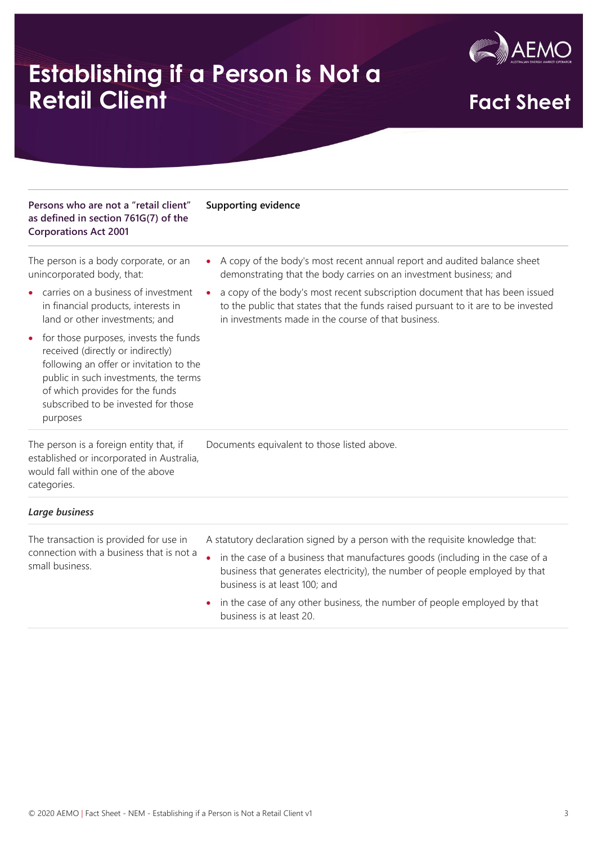

### **Establishing if a Person is Not a Establishing if a Person is Not a**<br>**Retail Client Fact Sheet**

#### **Persons who are not a "retail client" as defined in section 761G(7) of the Corporations Act 2001 Supporting evidence**

The person is a body corporate, or an unincorporated body, that:

• carries on a business of investment in financial products, interests in land or other investments; and

• for those purposes, invests the funds received (directly or indirectly) following an offer or invitation to the public in such investments, the terms of which provides for the funds subscribed to be invested for those purposes

- A copy of the body's most recent annual report and audited balance sheet demonstrating that the body carries on an investment business; and
- a copy of the body's most recent subscription document that has been issued to the public that states that the funds raised pursuant to it are to be invested in investments made in the course of that business.

Documents equivalent to those listed above.

The person is a foreign entity that, if established or incorporated in Australia, would fall within one of the above categories.

#### *Large business*

The transaction is provided for use in connection with a business that is not a small business.

- A statutory declaration signed by a person with the requisite knowledge that:
	- in the case of a business that manufactures goods (including in the case of a business that generates electricity), the number of people employed by that business is at least 100; and
	- in the case of any other business, the number of people employed by that business is at least 20.